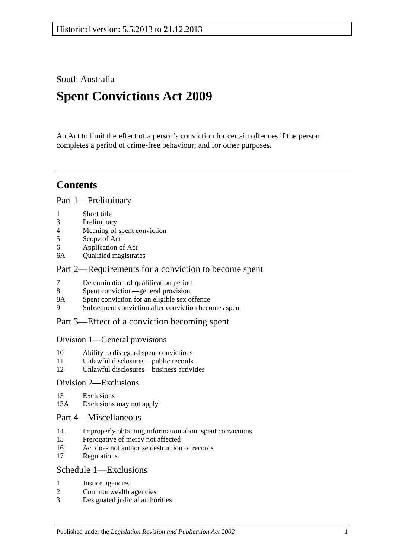South Australia

# **Spent Convictions Act 2009**

An Act to limit the effect of a person's conviction for certain offences if the person completes a period of crime-free behaviour; and for other purposes.

### **Contents**

[Part 1—Preliminary](#page-1-0)

- 1 [Short title](#page-1-1)
- 3 [Preliminary](#page-1-2)
- 4 [Meaning of spent conviction](#page-6-0)
- 5 [Scope of Act](#page-6-1)
- 6 [Application of Act](#page-7-0)
- 6A [Qualified magistrates](#page-7-1)

#### [Part 2—Requirements for a conviction to become spent](#page-8-0)

- 7 [Determination of qualification period](#page-8-1)
- 8 [Spent conviction—general provision](#page-9-0)
- 8A [Spent conviction for an eligible sex offence](#page-9-1)
- 9 [Subsequent conviction after conviction becomes spent](#page-10-0)

#### [Part 3—Effect of a conviction becoming spent](#page-10-1)

#### [Division 1—General provisions](#page-10-2)

- 10 [Ability to disregard spent convictions](#page-10-3)
- 11 [Unlawful disclosures—public records](#page-11-0)
- 12 [Unlawful disclosures—business activities](#page-11-1)

#### [Division 2—Exclusions](#page-11-2)

- 13 [Exclusions](#page-11-3)
- 13A [Exclusions may not apply](#page-12-0)

#### [Part 4—Miscellaneous](#page-13-0)

- 14 [Improperly obtaining information about spent convictions](#page-13-1)
- 15 [Prerogative of mercy not affected](#page-13-2)
- 16 [Act does not authorise destruction of records](#page-13-3)
- 17 [Regulations](#page-13-4)

#### [Schedule 1—Exclusions](#page-13-5)

- 1 [Justice agencies](#page-13-6)
- 2 [Commonwealth agencies](#page-14-0)
- 3 [Designated judicial authorities](#page-14-1)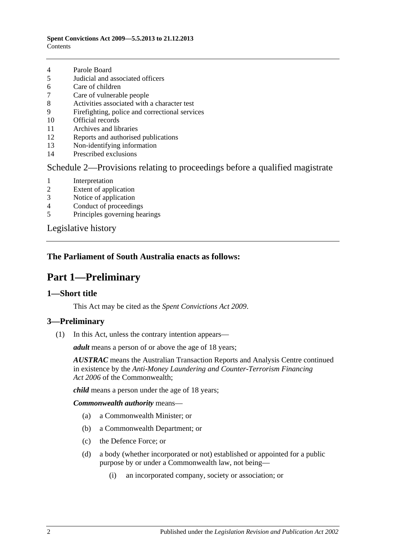#### **Spent Convictions Act 2009—5.5.2013 to 21.12.2013 Contents**

- 4 [Parole Board](#page-14-2)
- 5 [Judicial and associated officers](#page-14-3)
- 6 [Care of children](#page-15-0)
- 7 [Care of vulnerable people](#page-15-1)
- 8 [Activities associated with a character test](#page-16-0)
- 9 [Firefighting, police and correctional services](#page-16-1)
- 10 [Official records](#page-16-2)
- 11 [Archives and libraries](#page-17-0)
- 12 [Reports and authorised publications](#page-17-1)
- 13 [Non-identifying information](#page-17-2)
- 14 [Prescribed exclusions](#page-17-3)

#### [Schedule 2—Provisions relating to proceedings before a qualified magistrate](#page-17-4)

- 1 [Interpretation](#page-17-5)
- 2 [Extent of application](#page-17-6)
- 3 [Notice of application](#page-17-7)
- 4 [Conduct of proceedings](#page-18-0)
- 5 [Principles governing hearings](#page-18-1)

[Legislative history](#page-20-0)

#### <span id="page-1-0"></span>**The Parliament of South Australia enacts as follows:**

## **Part 1—Preliminary**

#### <span id="page-1-1"></span>**1—Short title**

This Act may be cited as the *Spent Convictions Act 2009*.

#### <span id="page-1-3"></span><span id="page-1-2"></span>**3—Preliminary**

(1) In this Act, unless the contrary intention appears—

*adult* means a person of or above the age of 18 years;

*AUSTRAC* means the Australian Transaction Reports and Analysis Centre continued in existence by the *Anti-Money Laundering and Counter-Terrorism Financing Act 2006* of the Commonwealth;

*child* means a person under the age of 18 years;

*Commonwealth authority* means—

- (a) a Commonwealth Minister; or
- (b) a Commonwealth Department; or
- (c) the Defence Force; or
- (d) a body (whether incorporated or not) established or appointed for a public purpose by or under a Commonwealth law, not being—
	- (i) an incorporated company, society or association; or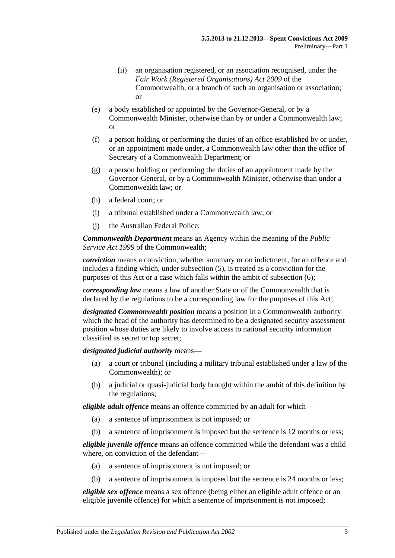- (ii) an organisation registered, or an association recognised, under the *Fair Work (Registered Organisations) Act 2009* of the Commonwealth, or a branch of such an organisation or association; or
- (e) a body established or appointed by the Governor-General, or by a Commonwealth Minister, otherwise than by or under a Commonwealth law; or
- (f) a person holding or performing the duties of an office established by or under, or an appointment made under, a Commonwealth law other than the office of Secretary of a Commonwealth Department; or
- (g) a person holding or performing the duties of an appointment made by the Governor-General, or by a Commonwealth Minister, otherwise than under a Commonwealth law; or
- (h) a federal court; or
- (i) a tribunal established under a Commonwealth law; or
- (j) the Australian Federal Police;

*Commonwealth Department* means an Agency within the meaning of the *Public Service Act 1999* of the Commonwealth;

*conviction* means a conviction, whether summary or on indictment, for an offence and includes a finding which, under [subsection](#page-5-0) (5), is treated as a conviction for the purposes of this Act or a case which falls within the ambit of [subsection](#page-5-1) (6);

*corresponding law* means a law of another State or of the Commonwealth that is declared by the regulations to be a corresponding law for the purposes of this Act;

*designated Commonwealth position* means a position in a Commonwealth authority which the head of the authority has determined to be a designated security assessment position whose duties are likely to involve access to national security information classified as secret or top secret;

*designated judicial authority* means—

- (a) a court or tribunal (including a military tribunal established under a law of the Commonwealth); or
- (b) a judicial or quasi-judicial body brought within the ambit of this definition by the regulations;

*eligible adult offence* means an offence committed by an adult for which—

- (a) a sentence of imprisonment is not imposed; or
- (b) a sentence of imprisonment is imposed but the sentence is 12 months or less;

*eligible juvenile offence* means an offence committed while the defendant was a child where, on conviction of the defendant—

- (a) a sentence of imprisonment is not imposed; or
- (b) a sentence of imprisonment is imposed but the sentence is 24 months or less;

*eligible sex offence* means a sex offence (being either an eligible adult offence or an eligible juvenile offence) for which a sentence of imprisonment is not imposed;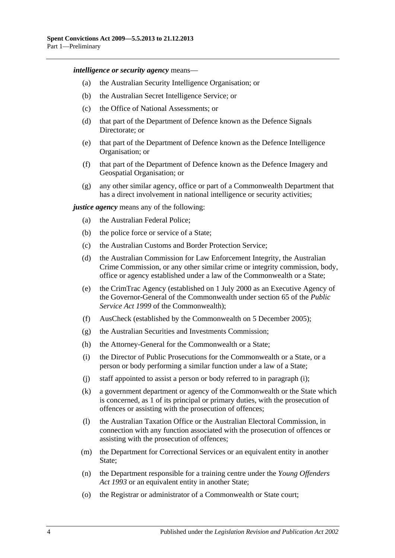*intelligence or security agency* means—

- (a) the Australian Security Intelligence Organisation; or
- (b) the Australian Secret Intelligence Service; or
- (c) the Office of National Assessments; or
- (d) that part of the Department of Defence known as the Defence Signals Directorate; or
- (e) that part of the Department of Defence known as the Defence Intelligence Organisation; or
- (f) that part of the Department of Defence known as the Defence Imagery and Geospatial Organisation; or
- (g) any other similar agency, office or part of a Commonwealth Department that has a direct involvement in national intelligence or security activities;

*justice agency* means any of the following:

- (a) the Australian Federal Police;
- (b) the police force or service of a State;
- (c) the Australian Customs and Border Protection Service;
- (d) the Australian Commission for Law Enforcement Integrity, the Australian Crime Commission, or any other similar crime or integrity commission, body, office or agency established under a law of the Commonwealth or a State;
- (e) the CrimTrac Agency (established on 1 July 2000 as an Executive Agency of the Governor-General of the Commonwealth under section 65 of the *Public Service Act 1999* of the Commonwealth);
- (f) AusCheck (established by the Commonwealth on 5 December 2005);
- (g) the Australian Securities and Investments Commission;
- <span id="page-3-0"></span>(h) the Attorney-General for the Commonwealth or a State;
- (i) the Director of Public Prosecutions for the Commonwealth or a State, or a person or body performing a similar function under a law of a State;
- (j) staff appointed to assist a person or body referred to in [paragraph](#page-3-0) (i);
- (k) a government department or agency of the Commonwealth or the State which is concerned, as 1 of its principal or primary duties, with the prosecution of offences or assisting with the prosecution of offences;
- (l) the Australian Taxation Office or the Australian Electoral Commission, in connection with any function associated with the prosecution of offences or assisting with the prosecution of offences;
- (m) the Department for Correctional Services or an equivalent entity in another State;
- (n) the Department responsible for a training centre under the *[Young Offenders](http://www.legislation.sa.gov.au/index.aspx?action=legref&type=act&legtitle=Young%20Offenders%20Act%201993)  Act [1993](http://www.legislation.sa.gov.au/index.aspx?action=legref&type=act&legtitle=Young%20Offenders%20Act%201993)* or an equivalent entity in another State;
- (o) the Registrar or administrator of a Commonwealth or State court;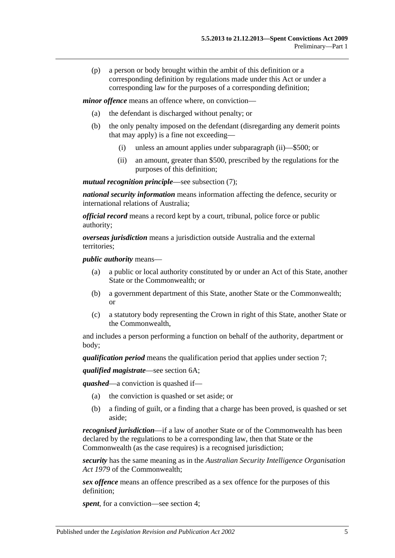(p) a person or body brought within the ambit of this definition or a corresponding definition by regulations made under this Act or under a corresponding law for the purposes of a corresponding definition;

*minor offence* means an offence where, on conviction—

- (a) the defendant is discharged without penalty; or
- (b) the only penalty imposed on the defendant (disregarding any demerit points that may apply) is a fine not exceeding—
	- (i) unless an amount applies under [subparagraph](#page-4-0) (ii)—\$500; or
	- (ii) an amount, greater than \$500, prescribed by the regulations for the purposes of this definition;

<span id="page-4-0"></span>*mutual recognition principle*—see [subsection](#page-6-2) (7);

*national security information* means information affecting the defence, security or international relations of Australia;

*official record* means a record kept by a court, tribunal, police force or public authority;

*overseas jurisdiction* means a jurisdiction outside Australia and the external territories;

*public authority* means—

- (a) a public or local authority constituted by or under an Act of this State, another State or the Commonwealth; or
- (b) a government department of this State, another State or the Commonwealth; or
- (c) a statutory body representing the Crown in right of this State, another State or the Commonwealth,

and includes a person performing a function on behalf of the authority, department or body;

*qualification period* means the qualification period that applies under [section](#page-8-1) 7;

*qualified magistrate*—see [section](#page-7-1) 6A;

*quashed*—a conviction is quashed if—

- (a) the conviction is quashed or set aside; or
- (b) a finding of guilt, or a finding that a charge has been proved, is quashed or set aside;

*recognised jurisdiction*—if a law of another State or of the Commonwealth has been declared by the regulations to be a corresponding law, then that State or the Commonwealth (as the case requires) is a recognised jurisdiction;

*security* has the same meaning as in the *Australian Security Intelligence Organisation Act 1979* of the Commonwealth;

*sex offence* means an offence prescribed as a sex offence for the purposes of this definition;

*spent*, for a conviction—see [section](#page-6-0) 4;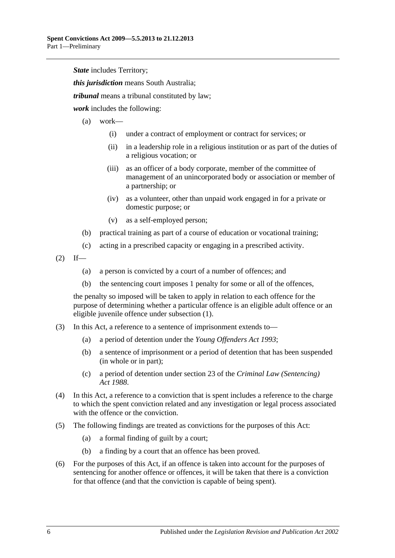*State* includes Territory:

*this jurisdiction* means South Australia;

*tribunal* means a tribunal constituted by law;

*work* includes the following:

- (a) work—
	- (i) under a contract of employment or contract for services; or
	- (ii) in a leadership role in a religious institution or as part of the duties of a religious vocation; or
	- (iii) as an officer of a body corporate, member of the committee of management of an unincorporated body or association or member of a partnership; or
	- (iv) as a volunteer, other than unpaid work engaged in for a private or domestic purpose; or
	- (v) as a self-employed person;
- (b) practical training as part of a course of education or vocational training;
- (c) acting in a prescribed capacity or engaging in a prescribed activity.
- $(2)$  If—
	- (a) a person is convicted by a court of a number of offences; and
	- (b) the sentencing court imposes 1 penalty for some or all of the offences,

the penalty so imposed will be taken to apply in relation to each offence for the purpose of determining whether a particular offence is an eligible adult offence or an eligible juvenile offence under [subsection](#page-1-3) (1).

- (3) In this Act, a reference to a sentence of imprisonment extends to—
	- (a) a period of detention under the *[Young Offenders Act](http://www.legislation.sa.gov.au/index.aspx?action=legref&type=act&legtitle=Young%20Offenders%20Act%201993) 1993*;
	- (b) a sentence of imprisonment or a period of detention that has been suspended (in whole or in part);
	- (c) a period of detention under section 23 of the *[Criminal Law \(Sentencing\)](http://www.legislation.sa.gov.au/index.aspx?action=legref&type=act&legtitle=Criminal%20Law%20(Sentencing)%20Act%201988)  Act [1988](http://www.legislation.sa.gov.au/index.aspx?action=legref&type=act&legtitle=Criminal%20Law%20(Sentencing)%20Act%201988)*.
- (4) In this Act, a reference to a conviction that is spent includes a reference to the charge to which the spent conviction related and any investigation or legal process associated with the offence or the conviction.
- <span id="page-5-0"></span>(5) The following findings are treated as convictions for the purposes of this Act:
	- (a) a formal finding of guilt by a court;
	- (b) a finding by a court that an offence has been proved.
- <span id="page-5-1"></span>(6) For the purposes of this Act, if an offence is taken into account for the purposes of sentencing for another offence or offences, it will be taken that there is a conviction for that offence (and that the conviction is capable of being spent).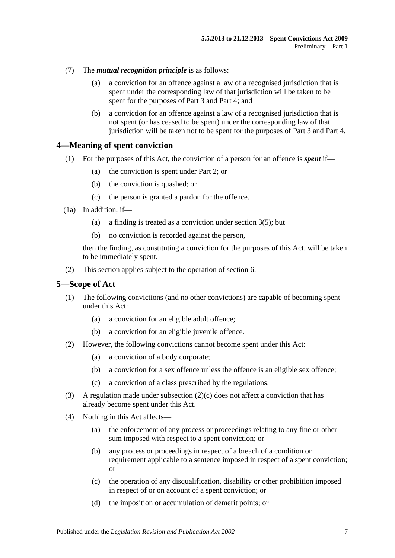- <span id="page-6-2"></span>(7) The *mutual recognition principle* is as follows:
	- (a) a conviction for an offence against a law of a recognised jurisdiction that is spent under the corresponding law of that jurisdiction will be taken to be spent for the purposes of [Part 3](#page-10-1) and [Part 4;](#page-13-0) and
	- (b) a conviction for an offence against a law of a recognised jurisdiction that is not spent (or has ceased to be spent) under the corresponding law of that jurisdiction will be taken not to be spent for the purposes of [Part 3](#page-10-1) and [Part 4.](#page-13-0)

#### <span id="page-6-0"></span>**4—Meaning of spent conviction**

- (1) For the purposes of this Act, the conviction of a person for an offence is *spent* if—
	- (a) the conviction is spent under [Part 2;](#page-8-0) or
	- (b) the conviction is quashed; or
	- (c) the person is granted a pardon for the offence.
- <span id="page-6-4"></span>(1a) In addition, if—
	- (a) a finding is treated as a conviction under [section](#page-5-0) 3(5); but
	- (b) no conviction is recorded against the person,

then the finding, as constituting a conviction for the purposes of this Act, will be taken to be immediately spent.

(2) This section applies subject to the operation of [section](#page-7-0) 6.

#### <span id="page-6-1"></span>**5—Scope of Act**

- (1) The following convictions (and no other convictions) are capable of becoming spent under this Act:
	- (a) a conviction for an eligible adult offence;
	- (b) a conviction for an eligible juvenile offence.
- (2) However, the following convictions cannot become spent under this Act:
	- (a) a conviction of a body corporate;
	- (b) a conviction for a sex offence unless the offence is an eligible sex offence;
	- (c) a conviction of a class prescribed by the regulations.
- <span id="page-6-3"></span>(3) A regulation made under [subsection](#page-6-3)  $(2)(c)$  does not affect a conviction that has already become spent under this Act.
- (4) Nothing in this Act affects—
	- (a) the enforcement of any process or proceedings relating to any fine or other sum imposed with respect to a spent conviction; or
	- (b) any process or proceedings in respect of a breach of a condition or requirement applicable to a sentence imposed in respect of a spent conviction; or
	- (c) the operation of any disqualification, disability or other prohibition imposed in respect of or on account of a spent conviction; or
	- (d) the imposition or accumulation of demerit points; or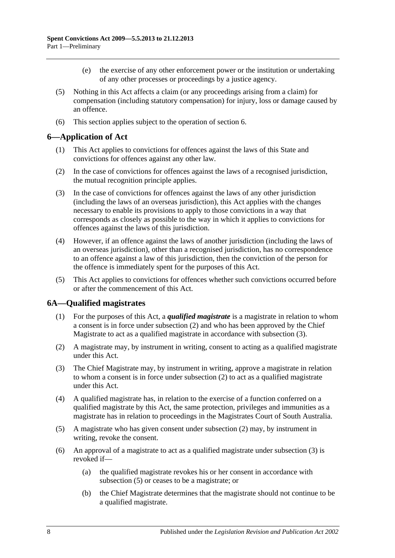- (e) the exercise of any other enforcement power or the institution or undertaking of any other processes or proceedings by a justice agency.
- (5) Nothing in this Act affects a claim (or any proceedings arising from a claim) for compensation (including statutory compensation) for injury, loss or damage caused by an offence.
- (6) This section applies subject to the operation of [section](#page-7-0) 6.

#### <span id="page-7-0"></span>**6—Application of Act**

- (1) This Act applies to convictions for offences against the laws of this State and convictions for offences against any other law.
- (2) In the case of convictions for offences against the laws of a recognised jurisdiction, the mutual recognition principle applies.
- (3) In the case of convictions for offences against the laws of any other jurisdiction (including the laws of an overseas jurisdiction), this Act applies with the changes necessary to enable its provisions to apply to those convictions in a way that corresponds as closely as possible to the way in which it applies to convictions for offences against the laws of this jurisdiction.
- (4) However, if an offence against the laws of another jurisdiction (including the laws of an overseas jurisdiction), other than a recognised jurisdiction, has no correspondence to an offence against a law of this jurisdiction, then the conviction of the person for the offence is immediately spent for the purposes of this Act.
- (5) This Act applies to convictions for offences whether such convictions occurred before or after the commencement of this Act.

#### <span id="page-7-1"></span>**6A—Qualified magistrates**

- (1) For the purposes of this Act, a *qualified magistrate* is a magistrate in relation to whom a consent is in force under [subsection](#page-7-2) (2) and who has been approved by the Chief Magistrate to act as a qualified magistrate in accordance with [subsection](#page-7-3) (3).
- <span id="page-7-2"></span>(2) A magistrate may, by instrument in writing, consent to acting as a qualified magistrate under this Act.
- <span id="page-7-3"></span>(3) The Chief Magistrate may, by instrument in writing, approve a magistrate in relation to whom a consent is in force under [subsection](#page-7-2) (2) to act as a qualified magistrate under this Act.
- (4) A qualified magistrate has, in relation to the exercise of a function conferred on a qualified magistrate by this Act, the same protection, privileges and immunities as a magistrate has in relation to proceedings in the Magistrates Court of South Australia.
- <span id="page-7-4"></span>(5) A magistrate who has given consent under [subsection](#page-7-2) (2) may, by instrument in writing, revoke the consent.
- (6) An approval of a magistrate to act as a qualified magistrate under [subsection](#page-7-3) (3) is revoked if—
	- (a) the qualified magistrate revokes his or her consent in accordance with [subsection](#page-7-4) (5) or ceases to be a magistrate; or
	- (b) the Chief Magistrate determines that the magistrate should not continue to be a qualified magistrate.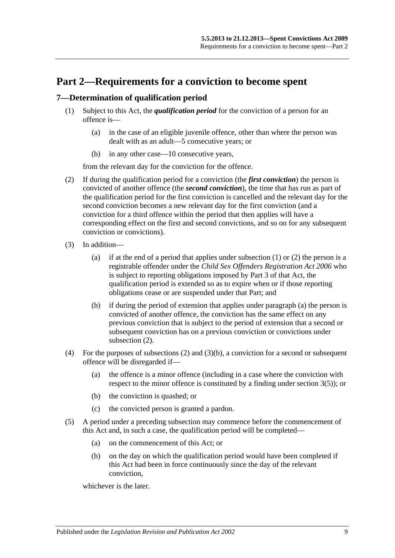# <span id="page-8-0"></span>**Part 2—Requirements for a conviction to become spent**

#### <span id="page-8-2"></span><span id="page-8-1"></span>**7—Determination of qualification period**

- (1) Subject to this Act, the *qualification period* for the conviction of a person for an offence is—
	- (a) in the case of an eligible juvenile offence, other than where the person was dealt with as an adult—5 consecutive years; or
	- (b) in any other case—10 consecutive years,

from the relevant day for the conviction for the offence.

- <span id="page-8-3"></span>(2) If during the qualification period for a conviction (the *first conviction*) the person is convicted of another offence (the *second conviction*), the time that has run as part of the qualification period for the first conviction is cancelled and the relevant day for the second conviction becomes a new relevant day for the first conviction (and a conviction for a third offence within the period that then applies will have a corresponding effect on the first and second convictions, and so on for any subsequent conviction or convictions).
- <span id="page-8-4"></span>(3) In addition—
	- (a) if at the end of a period that applies under [subsection](#page-8-2) (1) or [\(2\)](#page-8-3) the person is a registrable offender under the *[Child Sex Offenders Registration Act](http://www.legislation.sa.gov.au/index.aspx?action=legref&type=act&legtitle=Child%20Sex%20Offenders%20Registration%20Act%202006) 2006* who is subject to reporting obligations imposed by Part 3 of that Act, the qualification period is extended so as to expire when or if those reporting obligations cease or are suspended under that Part; and
	- (b) if during the period of extension that applies under [paragraph](#page-8-4) (a) the person is convicted of another offence, the conviction has the same effect on any previous conviction that is subject to the period of extension that a second or subsequent conviction has on a previous conviction or convictions under [subsection](#page-8-3) (2).
- <span id="page-8-5"></span>(4) For the purposes of [subsections](#page-8-3) (2) and [\(3\)\(b\),](#page-8-5) a conviction for a second or subsequent offence will be disregarded if—
	- (a) the offence is a minor offence (including in a case where the conviction with respect to the minor offence is constituted by a finding under [section](#page-5-0) 3(5)); or
	- (b) the conviction is quashed; or
	- (c) the convicted person is granted a pardon.
- (5) A period under a preceding subsection may commence before the commencement of this Act and, in such a case, the qualification period will be completed—
	- (a) on the commencement of this Act; or
	- (b) on the day on which the qualification period would have been completed if this Act had been in force continuously since the day of the relevant conviction,

whichever is the later.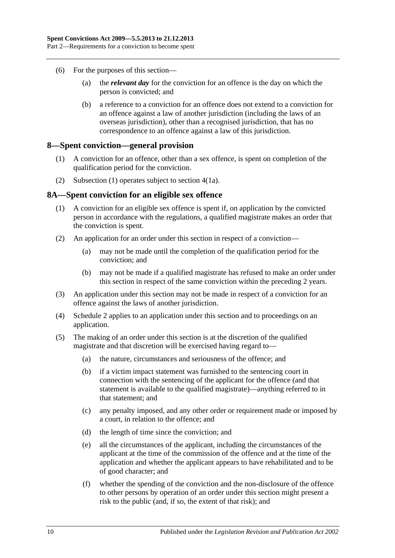- (6) For the purposes of this section—
	- (a) the *relevant day* for the conviction for an offence is the day on which the person is convicted; and
	- (b) a reference to a conviction for an offence does not extend to a conviction for an offence against a law of another jurisdiction (including the laws of an overseas jurisdiction), other than a recognised jurisdiction, that has no correspondence to an offence against a law of this jurisdiction.

#### <span id="page-9-2"></span><span id="page-9-0"></span>**8—Spent conviction—general provision**

- (1) A conviction for an offence, other than a sex offence, is spent on completion of the qualification period for the conviction.
- (2) [Subsection](#page-9-2) (1) operates subject to [section](#page-6-4) 4(1a).

#### <span id="page-9-1"></span>**8A—Spent conviction for an eligible sex offence**

- (1) A conviction for an eligible sex offence is spent if, on application by the convicted person in accordance with the regulations, a qualified magistrate makes an order that the conviction is spent.
- (2) An application for an order under this section in respect of a conviction—
	- (a) may not be made until the completion of the qualification period for the conviction; and
	- (b) may not be made if a qualified magistrate has refused to make an order under this section in respect of the same conviction within the preceding 2 years.
- (3) An application under this section may not be made in respect of a conviction for an offence against the laws of another jurisdiction.
- (4) [Schedule 2](#page-17-4) applies to an application under this section and to proceedings on an application.
- (5) The making of an order under this section is at the discretion of the qualified magistrate and that discretion will be exercised having regard to—
	- (a) the nature, circumstances and seriousness of the offence; and
	- (b) if a victim impact statement was furnished to the sentencing court in connection with the sentencing of the applicant for the offence (and that statement is available to the qualified magistrate)—anything referred to in that statement; and
	- (c) any penalty imposed, and any other order or requirement made or imposed by a court, in relation to the offence; and
	- (d) the length of time since the conviction; and
	- (e) all the circumstances of the applicant, including the circumstances of the applicant at the time of the commission of the offence and at the time of the application and whether the applicant appears to have rehabilitated and to be of good character; and
	- (f) whether the spending of the conviction and the non-disclosure of the offence to other persons by operation of an order under this section might present a risk to the public (and, if so, the extent of that risk); and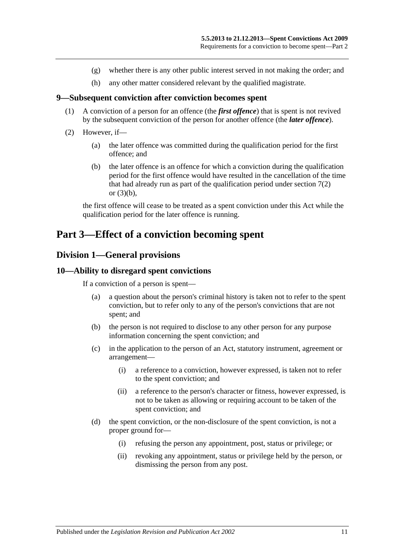- (g) whether there is any other public interest served in not making the order; and
- (h) any other matter considered relevant by the qualified magistrate.

#### <span id="page-10-0"></span>**9—Subsequent conviction after conviction becomes spent**

- (1) A conviction of a person for an offence (the *first offence*) that is spent is not revived by the subsequent conviction of the person for another offence (the *later offence*).
- (2) However, if—
	- (a) the later offence was committed during the qualification period for the first offence; and
	- (b) the later offence is an offence for which a conviction during the qualification period for the first offence would have resulted in the cancellation of the time that had already run as part of the qualification period under [section](#page-8-3) 7(2) or [\(3\)\(b\),](#page-8-5)

the first offence will cease to be treated as a spent conviction under this Act while the qualification period for the later offence is running.

### <span id="page-10-2"></span><span id="page-10-1"></span>**Part 3—Effect of a conviction becoming spent**

#### **Division 1—General provisions**

#### <span id="page-10-3"></span>**10—Ability to disregard spent convictions**

If a conviction of a person is spent—

- (a) a question about the person's criminal history is taken not to refer to the spent conviction, but to refer only to any of the person's convictions that are not spent; and
- (b) the person is not required to disclose to any other person for any purpose information concerning the spent conviction; and
- (c) in the application to the person of an Act, statutory instrument, agreement or arrangement—
	- (i) a reference to a conviction, however expressed, is taken not to refer to the spent conviction; and
	- (ii) a reference to the person's character or fitness, however expressed, is not to be taken as allowing or requiring account to be taken of the spent conviction; and
- (d) the spent conviction, or the non-disclosure of the spent conviction, is not a proper ground for—
	- (i) refusing the person any appointment, post, status or privilege; or
	- (ii) revoking any appointment, status or privilege held by the person, or dismissing the person from any post.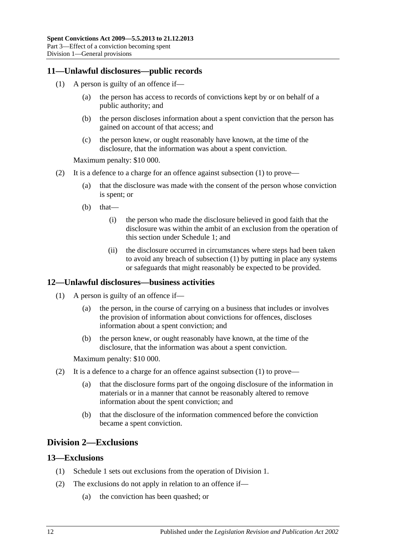#### <span id="page-11-4"></span><span id="page-11-0"></span>**11—Unlawful disclosures—public records**

- (1) A person is guilty of an offence if—
	- (a) the person has access to records of convictions kept by or on behalf of a public authority; and
	- (b) the person discloses information about a spent conviction that the person has gained on account of that access; and
	- (c) the person knew, or ought reasonably have known, at the time of the disclosure, that the information was about a spent conviction.

Maximum penalty: \$10 000.

- (2) It is a defence to a charge for an offence against [subsection](#page-11-4) (1) to prove—
	- (a) that the disclosure was made with the consent of the person whose conviction is spent; or
	- $(b)$  that—
		- (i) the person who made the disclosure believed in good faith that the disclosure was within the ambit of an exclusion from the operation of this section under [Schedule 1;](#page-13-5) and
		- (ii) the disclosure occurred in circumstances where steps had been taken to avoid any breach of [subsection](#page-11-4) (1) by putting in place any systems or safeguards that might reasonably be expected to be provided.

#### <span id="page-11-5"></span><span id="page-11-1"></span>**12—Unlawful disclosures—business activities**

- (1) A person is guilty of an offence if—
	- (a) the person, in the course of carrying on a business that includes or involves the provision of information about convictions for offences, discloses information about a spent conviction; and
	- (b) the person knew, or ought reasonably have known, at the time of the disclosure, that the information was about a spent conviction.

Maximum penalty: \$10 000.

- (2) It is a defence to a charge for an offence against [subsection](#page-11-5) (1) to prove—
	- (a) that the disclosure forms part of the ongoing disclosure of the information in materials or in a manner that cannot be reasonably altered to remove information about the spent conviction; and
	- (b) that the disclosure of the information commenced before the conviction became a spent conviction.

### <span id="page-11-2"></span>**Division 2—Exclusions**

#### <span id="page-11-3"></span>**13—Exclusions**

- (1) [Schedule 1](#page-13-5) sets out exclusions from the operation of [Division 1.](#page-10-2)
- (2) The exclusions do not apply in relation to an offence if—
	- (a) the conviction has been quashed; or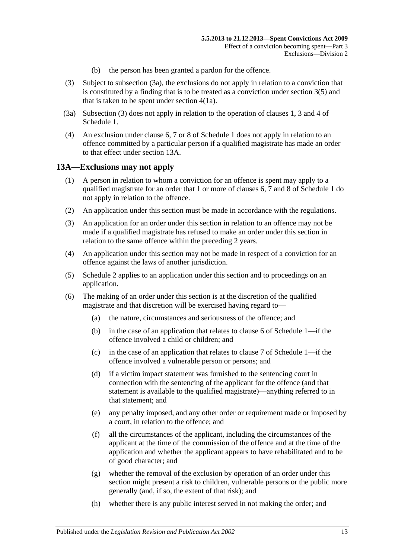- (b) the person has been granted a pardon for the offence.
- <span id="page-12-2"></span>(3) Subject to [subsection](#page-12-1) (3a), the exclusions do not apply in relation to a conviction that is constituted by a finding that is to be treated as a conviction under [section](#page-5-0) 3(5) and that is taken to be spent under [section](#page-6-4) 4(1a).
- <span id="page-12-1"></span>(3a) [Subsection](#page-12-2) (3) does not apply in relation to the operation of [clauses](#page-13-6) 1, [3](#page-14-1) and [4](#page-14-2) of [Schedule 1.](#page-13-5)
- (4) An exclusion under [clause](#page-15-0) 6, [7](#page-15-1) or [8](#page-16-0) of [Schedule 1](#page-13-5) does not apply in relation to an offence committed by a particular person if a qualified magistrate has made an order to that effect under [section](#page-12-0) 13A.

#### <span id="page-12-0"></span>**13A—Exclusions may not apply**

- (1) A person in relation to whom a conviction for an offence is spent may apply to a qualified magistrate for an order that 1 or more of [clauses](#page-15-0) 6, [7](#page-15-1) and [8](#page-16-0) of [Schedule 1](#page-13-5) do not apply in relation to the offence.
- (2) An application under this section must be made in accordance with the regulations.
- (3) An application for an order under this section in relation to an offence may not be made if a qualified magistrate has refused to make an order under this section in relation to the same offence within the preceding 2 years.
- (4) An application under this section may not be made in respect of a conviction for an offence against the laws of another jurisdiction.
- (5) [Schedule 2](#page-17-4) applies to an application under this section and to proceedings on an application.
- (6) The making of an order under this section is at the discretion of the qualified magistrate and that discretion will be exercised having regard to—
	- (a) the nature, circumstances and seriousness of the offence; and
	- (b) in the case of an application that relates to [clause](#page-15-0) 6 of [Schedule 1—](#page-13-5)if the offence involved a child or children; and
	- (c) in the case of an application that relates to [clause](#page-15-1) 7 of [Schedule 1—](#page-13-5)if the offence involved a vulnerable person or persons; and
	- (d) if a victim impact statement was furnished to the sentencing court in connection with the sentencing of the applicant for the offence (and that statement is available to the qualified magistrate)—anything referred to in that statement; and
	- (e) any penalty imposed, and any other order or requirement made or imposed by a court, in relation to the offence; and
	- (f) all the circumstances of the applicant, including the circumstances of the applicant at the time of the commission of the offence and at the time of the application and whether the applicant appears to have rehabilitated and to be of good character; and
	- (g) whether the removal of the exclusion by operation of an order under this section might present a risk to children, vulnerable persons or the public more generally (and, if so, the extent of that risk); and
	- (h) whether there is any public interest served in not making the order; and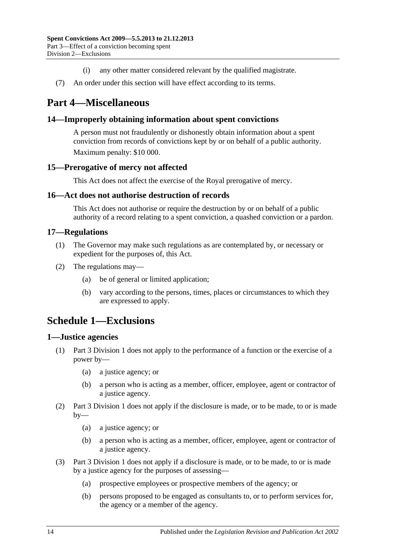- (i) any other matter considered relevant by the qualified magistrate.
- (7) An order under this section will have effect according to its terms.

# <span id="page-13-0"></span>**Part 4—Miscellaneous**

#### <span id="page-13-1"></span>**14—Improperly obtaining information about spent convictions**

A person must not fraudulently or dishonestly obtain information about a spent conviction from records of convictions kept by or on behalf of a public authority. Maximum penalty: \$10 000.

#### <span id="page-13-2"></span>**15—Prerogative of mercy not affected**

This Act does not affect the exercise of the Royal prerogative of mercy.

#### <span id="page-13-3"></span>**16—Act does not authorise destruction of records**

This Act does not authorise or require the destruction by or on behalf of a public authority of a record relating to a spent conviction, a quashed conviction or a pardon.

#### <span id="page-13-4"></span>**17—Regulations**

- (1) The Governor may make such regulations as are contemplated by, or necessary or expedient for the purposes of, this Act.
- (2) The regulations may—
	- (a) be of general or limited application;
	- (b) vary according to the persons, times, places or circumstances to which they are expressed to apply.

# <span id="page-13-5"></span>**Schedule 1—Exclusions**

#### <span id="page-13-6"></span>**1—Justice agencies**

- (1) [Part 3 Division 1](#page-10-2) does not apply to the performance of a function or the exercise of a power by—
	- (a) a justice agency; or
	- (b) a person who is acting as a member, officer, employee, agent or contractor of a justice agency.
- (2) [Part 3 Division 1](#page-10-2) does not apply if the disclosure is made, or to be made, to or is made  $by-$ 
	- (a) a justice agency; or
	- (b) a person who is acting as a member, officer, employee, agent or contractor of a justice agency.
- (3) [Part 3 Division 1](#page-10-2) does not apply if a disclosure is made, or to be made, to or is made by a justice agency for the purposes of assessing—
	- (a) prospective employees or prospective members of the agency; or
	- (b) persons proposed to be engaged as consultants to, or to perform services for, the agency or a member of the agency.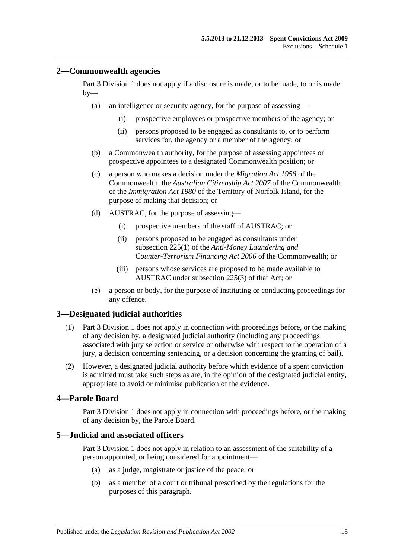#### <span id="page-14-0"></span>**2—Commonwealth agencies**

[Part 3 Division 1](#page-10-2) does not apply if a disclosure is made, or to be made, to or is made  $by-$ 

- (a) an intelligence or security agency, for the purpose of assessing—
	- (i) prospective employees or prospective members of the agency; or
	- (ii) persons proposed to be engaged as consultants to, or to perform services for, the agency or a member of the agency; or
- (b) a Commonwealth authority, for the purpose of assessing appointees or prospective appointees to a designated Commonwealth position; or
- (c) a person who makes a decision under the *Migration Act 1958* of the Commonwealth, the *Australian Citizenship Act 2007* of the Commonwealth or the *Immigration Act 1980* of the Territory of Norfolk Island, for the purpose of making that decision; or
- (d) AUSTRAC, for the purpose of assessing—
	- (i) prospective members of the staff of AUSTRAC; or
	- (ii) persons proposed to be engaged as consultants under subsection 225(1) of the *Anti-Money Laundering and Counter-Terrorism Financing Act 2006* of the Commonwealth; or
	- (iii) persons whose services are proposed to be made available to AUSTRAC under subsection 225(3) of that Act; or
- (e) a person or body, for the purpose of instituting or conducting proceedings for any offence.

### <span id="page-14-1"></span>**3—Designated judicial authorities**

- (1) [Part 3 Division 1](#page-10-2) does not apply in connection with proceedings before, or the making of any decision by, a designated judicial authority (including any proceedings associated with jury selection or service or otherwise with respect to the operation of a jury, a decision concerning sentencing, or a decision concerning the granting of bail).
- (2) However, a designated judicial authority before which evidence of a spent conviction is admitted must take such steps as are, in the opinion of the designated judicial entity, appropriate to avoid or minimise publication of the evidence.

### <span id="page-14-2"></span>**4—Parole Board**

[Part 3 Division 1](#page-10-2) does not apply in connection with proceedings before, or the making of any decision by, the Parole Board.

#### <span id="page-14-3"></span>**5—Judicial and associated officers**

[Part 3 Division 1](#page-10-2) does not apply in relation to an assessment of the suitability of a person appointed, or being considered for appointment—

- (a) as a judge, magistrate or justice of the peace; or
- (b) as a member of a court or tribunal prescribed by the regulations for the purposes of this paragraph.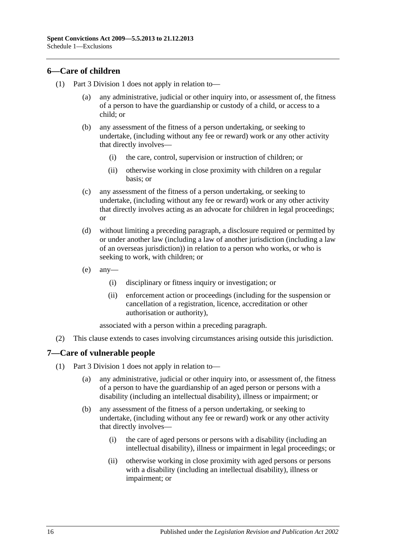#### <span id="page-15-0"></span>**6—Care of children**

- (1) [Part 3 Division 1](#page-10-2) does not apply in relation to
	- any administrative, judicial or other inquiry into, or assessment of, the fitness of a person to have the guardianship or custody of a child, or access to a child; or
	- (b) any assessment of the fitness of a person undertaking, or seeking to undertake, (including without any fee or reward) work or any other activity that directly involves—
		- (i) the care, control, supervision or instruction of children; or
		- (ii) otherwise working in close proximity with children on a regular basis; or
	- (c) any assessment of the fitness of a person undertaking, or seeking to undertake, (including without any fee or reward) work or any other activity that directly involves acting as an advocate for children in legal proceedings; or
	- (d) without limiting a preceding paragraph, a disclosure required or permitted by or under another law (including a law of another jurisdiction (including a law of an overseas jurisdiction)) in relation to a person who works, or who is seeking to work, with children; or
	- $(e)$  any-
		- (i) disciplinary or fitness inquiry or investigation; or
		- (ii) enforcement action or proceedings (including for the suspension or cancellation of a registration, licence, accreditation or other authorisation or authority),

associated with a person within a preceding paragraph.

(2) This clause extends to cases involving circumstances arising outside this jurisdiction.

#### <span id="page-15-1"></span>**7—Care of vulnerable people**

- (1) [Part 3 Division 1](#page-10-2) does not apply in relation to—
	- (a) any administrative, judicial or other inquiry into, or assessment of, the fitness of a person to have the guardianship of an aged person or persons with a disability (including an intellectual disability), illness or impairment; or
	- (b) any assessment of the fitness of a person undertaking, or seeking to undertake, (including without any fee or reward) work or any other activity that directly involves—
		- (i) the care of aged persons or persons with a disability (including an intellectual disability), illness or impairment in legal proceedings; or
		- (ii) otherwise working in close proximity with aged persons or persons with a disability (including an intellectual disability), illness or impairment; or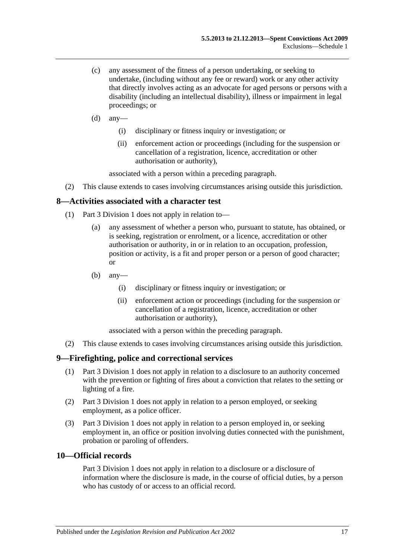- (c) any assessment of the fitness of a person undertaking, or seeking to undertake, (including without any fee or reward) work or any other activity that directly involves acting as an advocate for aged persons or persons with a disability (including an intellectual disability), illness or impairment in legal proceedings; or
- $(d)$  any—
	- (i) disciplinary or fitness inquiry or investigation; or
	- (ii) enforcement action or proceedings (including for the suspension or cancellation of a registration, licence, accreditation or other authorisation or authority),

associated with a person within a preceding paragraph.

(2) This clause extends to cases involving circumstances arising outside this jurisdiction.

#### <span id="page-16-0"></span>**8—Activities associated with a character test**

- (1) [Part 3 Division 1](#page-10-2) does not apply in relation to—
	- (a) any assessment of whether a person who, pursuant to statute, has obtained, or is seeking, registration or enrolment, or a licence, accreditation or other authorisation or authority, in or in relation to an occupation, profession, position or activity, is a fit and proper person or a person of good character; or
	- (b) any—
		- (i) disciplinary or fitness inquiry or investigation; or
		- (ii) enforcement action or proceedings (including for the suspension or cancellation of a registration, licence, accreditation or other authorisation or authority),

associated with a person within the preceding paragraph.

(2) This clause extends to cases involving circumstances arising outside this jurisdiction.

#### <span id="page-16-1"></span>**9—Firefighting, police and correctional services**

- (1) [Part 3 Division 1](#page-10-2) does not apply in relation to a disclosure to an authority concerned with the prevention or fighting of fires about a conviction that relates to the setting or lighting of a fire.
- (2) [Part 3 Division 1](#page-10-2) does not apply in relation to a person employed, or seeking employment, as a police officer.
- (3) [Part 3 Division 1](#page-10-2) does not apply in relation to a person employed in, or seeking employment in, an office or position involving duties connected with the punishment, probation or paroling of offenders.

#### <span id="page-16-2"></span>**10—Official records**

[Part 3 Division 1](#page-10-2) does not apply in relation to a disclosure or a disclosure of information where the disclosure is made, in the course of official duties, by a person who has custody of or access to an official record.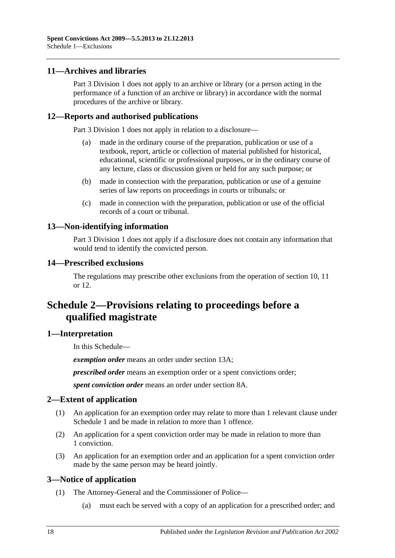#### <span id="page-17-0"></span>**11—Archives and libraries**

[Part 3 Division 1](#page-10-2) does not apply to an archive or library (or a person acting in the performance of a function of an archive or library) in accordance with the normal procedures of the archive or library.

#### <span id="page-17-1"></span>**12—Reports and authorised publications**

[Part 3 Division 1](#page-10-2) does not apply in relation to a disclosure—

- (a) made in the ordinary course of the preparation, publication or use of a textbook, report, article or collection of material published for historical, educational, scientific or professional purposes, or in the ordinary course of any lecture, class or discussion given or held for any such purpose; or
- (b) made in connection with the preparation, publication or use of a genuine series of law reports on proceedings in courts or tribunals; or
- (c) made in connection with the preparation, publication or use of the official records of a court or tribunal.

#### <span id="page-17-2"></span>**13—Non-identifying information**

[Part 3 Division 1](#page-10-2) does not apply if a disclosure does not contain any information that would tend to identify the convicted person.

#### <span id="page-17-3"></span>**14—Prescribed exclusions**

The regulations may prescribe other exclusions from the operation of [section](#page-10-3) 10, [11](#page-11-0) or [12.](#page-17-1)

# <span id="page-17-4"></span>**Schedule 2—Provisions relating to proceedings before a qualified magistrate**

#### <span id="page-17-5"></span>**1—Interpretation**

In this Schedule—

*exemption order* means an order under [section](#page-12-0) 13A;

*prescribed order* means an exemption order or a spent convictions order;

*spent conviction order* means an order under [section](#page-9-1) 8A.

#### <span id="page-17-6"></span>**2—Extent of application**

- (1) An application for an exemption order may relate to more than 1 relevant clause under [Schedule 1](#page-13-5) and be made in relation to more than 1 offence.
- (2) An application for a spent conviction order may be made in relation to more than 1 conviction.
- (3) An application for an exemption order and an application for a spent conviction order made by the same person may be heard jointly.

#### <span id="page-17-7"></span>**3—Notice of application**

- (1) The Attorney-General and the Commissioner of Police—
	- (a) must each be served with a copy of an application for a prescribed order; and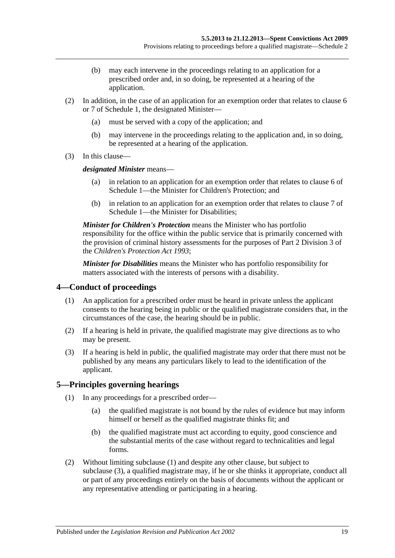- (b) may each intervene in the proceedings relating to an application for a prescribed order and, in so doing, be represented at a hearing of the application.
- (2) In addition, in the case of an application for an exemption order that relates to [clause](#page-15-0) 6 or [7](#page-15-1) of [Schedule 1,](#page-13-5) the designated Minister—
	- (a) must be served with a copy of the application; and
	- (b) may intervene in the proceedings relating to the application and, in so doing, be represented at a hearing of the application.
- (3) In this clause—

*designated Minister* means—

- (a) in relation to an application for an exemption order that relates to [clause](#page-15-0) 6 of [Schedule 1—](#page-13-5)the Minister for Children's Protection; and
- (b) in relation to an application for an exemption order that relates to [clause](#page-15-1) 7 of [Schedule 1—](#page-13-5)the Minister for Disabilities;

*Minister for Children's Protection* means the Minister who has portfolio responsibility for the office within the public service that is primarily concerned with the provision of criminal history assessments for the purposes of Part 2 Division 3 of the *[Children's Protection Act](http://www.legislation.sa.gov.au/index.aspx?action=legref&type=act&legtitle=Childrens%20Protection%20Act%201993) 1993*;

*Minister for Disabilities* means the Minister who has portfolio responsibility for matters associated with the interests of persons with a disability.

#### <span id="page-18-0"></span>**4—Conduct of proceedings**

- (1) An application for a prescribed order must be heard in private unless the applicant consents to the hearing being in public or the qualified magistrate considers that, in the circumstances of the case, the hearing should be in public.
- (2) If a hearing is held in private, the qualified magistrate may give directions as to who may be present.
- (3) If a hearing is held in public, the qualified magistrate may order that there must not be published by any means any particulars likely to lead to the identification of the applicant.

#### <span id="page-18-2"></span><span id="page-18-1"></span>**5—Principles governing hearings**

- (1) In any proceedings for a prescribed order—
	- (a) the qualified magistrate is not bound by the rules of evidence but may inform himself or herself as the qualified magistrate thinks fit; and
	- (b) the qualified magistrate must act according to equity, good conscience and the substantial merits of the case without regard to technicalities and legal forms.
- <span id="page-18-3"></span>(2) Without limiting [subclause](#page-18-2) (1) and despite any other clause, but subject to [subclause](#page-19-0) (3), a qualified magistrate may, if he or she thinks it appropriate, conduct all or part of any proceedings entirely on the basis of documents without the applicant or any representative attending or participating in a hearing.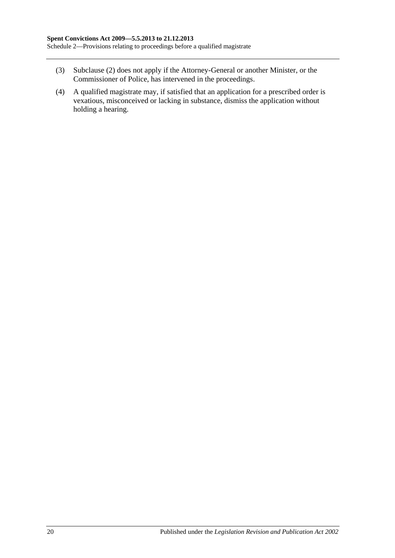Schedule 2—Provisions relating to proceedings before a qualified magistrate

- <span id="page-19-0"></span>(3) [Subclause](#page-18-3) (2) does not apply if the Attorney-General or another Minister, or the Commissioner of Police, has intervened in the proceedings.
- (4) A qualified magistrate may, if satisfied that an application for a prescribed order is vexatious, misconceived or lacking in substance, dismiss the application without holding a hearing.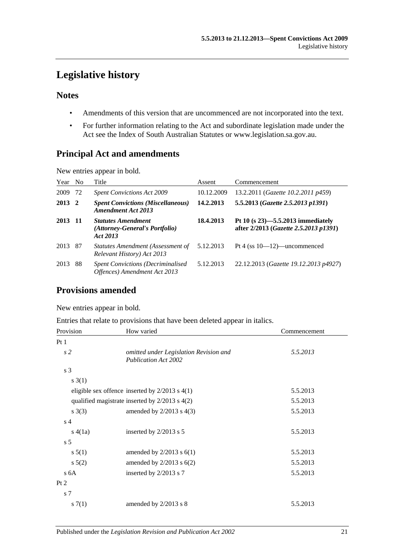# <span id="page-20-0"></span>**Legislative history**

#### **Notes**

- Amendments of this version that are uncommenced are not incorporated into the text.
- For further information relating to the Act and subordinate legislation made under the Act see the Index of South Australian Statutes or www.legislation.sa.gov.au.

### **Principal Act and amendments**

New entries appear in bold.

| Year No |              | Title                                                                     | Assent     | Commencement                                                                  |
|---------|--------------|---------------------------------------------------------------------------|------------|-------------------------------------------------------------------------------|
| 2009    | 72           | <b>Spent Convictions Act 2009</b>                                         | 10.12.2009 | 13.2.2011 (Gazette 10.2.2011 p459)                                            |
| 2013    | $\mathbf{2}$ | <b>Spent Convictions (Miscellaneous)</b><br><b>Amendment Act 2013</b>     | 14.2.2013  | 5.5.2013 (Gazette 2.5.2013 p1391)                                             |
| 2013    | -11          | <b>Statutes Amendment</b><br>(Attorney-General's Portfolio)<br>Act 2013   | 18.4.2013  | Pt 10 $(s 23)$ —5.5.2013 immediately<br>after 2/2013 (Gazette 2.5.2013 p1391) |
| 2013 87 |              | Statutes Amendment (Assessment of<br>Relevant History) Act 2013           | 5.12.2013  | Pt 4 (ss $10-12$ )—uncommenced                                                |
| 2013    | 88           | <b>Spent Convictions (Decriminalised)</b><br>Offences) Amendment Act 2013 | 5.12.2013  | 22.12.2013 (Gazette 19.12.2013 p4927)                                         |

### **Provisions amended**

New entries appear in bold.

Entries that relate to provisions that have been deleted appear in italics.

| Provision      | How varied                                                            | Commencement |
|----------------|-----------------------------------------------------------------------|--------------|
| Pt1            |                                                                       |              |
| s <sub>2</sub> | omitted under Legislation Revision and<br><b>Publication Act 2002</b> | 5.5.2013     |
| s 3            |                                                                       |              |
| $s \; 3(1)$    |                                                                       |              |
|                | eligible sex offence inserted by $2/2013$ s $4(1)$                    | 5.5.2013     |
|                | qualified magistrate inserted by $2/2013$ s $4(2)$                    | 5.5.2013     |
| s(3)           | amended by $2/2013$ s $4(3)$                                          | 5.5.2013     |
| s <sub>4</sub> |                                                                       |              |
| s(4(1a))       | inserted by $2/2013$ s 5                                              | 5.5.2013     |
| s <sub>5</sub> |                                                                       |              |
| s 5(1)         | amended by $2/2013$ s $6(1)$                                          | 5.5.2013     |
| s(2)           | amended by $2/2013$ s $6(2)$                                          | 5.5.2013     |
| s 6A           | inserted by 2/2013 s 7                                                | 5.5.2013     |
| Pt 2           |                                                                       |              |
| s 7            |                                                                       |              |
| s(1)           | amended by $2/2013$ s 8                                               | 5.5.2013     |